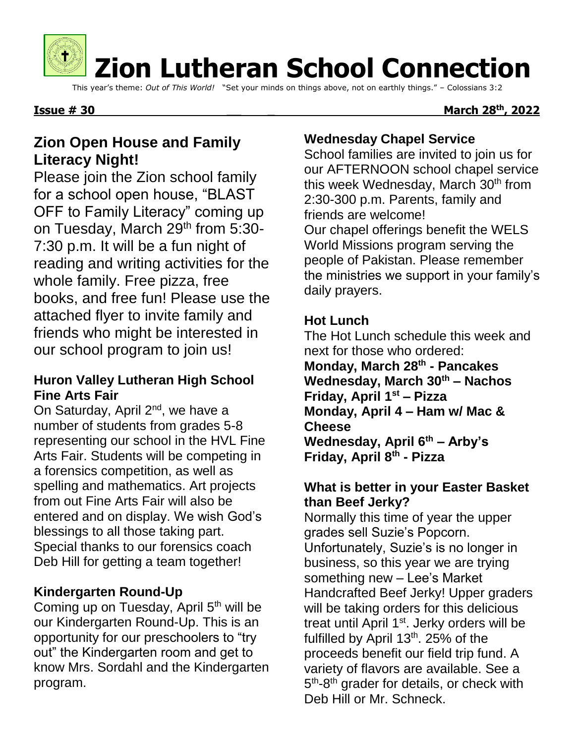

# **Zion Lutheran School Connection**

This year's theme: *Out of This World!* "Set your minds on things above, not on earthly things." – Colossians 3:2

#### **Issue # 30**

#### **th, 2022**

# **Zion Open House and Family Literacy Night!**

Please join the Zion school family for a school open house, "BLAST OFF to Family Literacy" coming up on Tuesday, March 29<sup>th</sup> from 5:30-7:30 p.m. It will be a fun night of reading and writing activities for the whole family. Free pizza, free books, and free fun! Please use the attached flyer to invite family and friends who might be interested in our school program to join us!

#### **Huron Valley Lutheran High School Fine Arts Fair**

On Saturday, April 2<sup>nd</sup>, we have a number of students from grades 5-8 representing our school in the HVL Fine Arts Fair. Students will be competing in a forensics competition, as well as spelling and mathematics. Art projects from out Fine Arts Fair will also be entered and on display. We wish God's blessings to all those taking part. Special thanks to our forensics coach Deb Hill for getting a team together!

## **Kindergarten Round-Up**

Coming up on Tuesday, April 5<sup>th</sup> will be our Kindergarten Round-Up. This is an opportunity for our preschoolers to "try out" the Kindergarten room and get to know Mrs. Sordahl and the Kindergarten program.

## **Wednesday Chapel Service**

School families are invited to join us for our AFTERNOON school chapel service this week Wednesday, March  $30<sup>th</sup>$  from 2:30-300 p.m. Parents, family and friends are welcome!

Our chapel offerings benefit the WELS World Missions program serving the people of Pakistan. Please remember the ministries we support in your family's daily prayers.

### **Hot Lunch**

The Hot Lunch schedule this week and next for those who ordered: **Monday, March 28th - Pancakes**

**Wednesday, March 30th – Nachos Friday, April 1st – Pizza Monday, April 4 – Ham w/ Mac & Cheese Wednesday, April 6th – Arby's Friday, April 8th - Pizza**

#### **What is better in your Easter Basket than Beef Jerky?**

Normally this time of year the upper grades sell Suzie's Popcorn. Unfortunately, Suzie's is no longer in business, so this year we are trying something new – Lee's Market Handcrafted Beef Jerky! Upper graders will be taking orders for this delicious treat until April 1<sup>st</sup>. Jerky orders will be fulfilled by April 13<sup>th</sup>. 25% of the proceeds benefit our field trip fund. A variety of flavors are available. See a 5<sup>th</sup>-8<sup>th</sup> grader for details, or check with Deb Hill or Mr. Schneck.